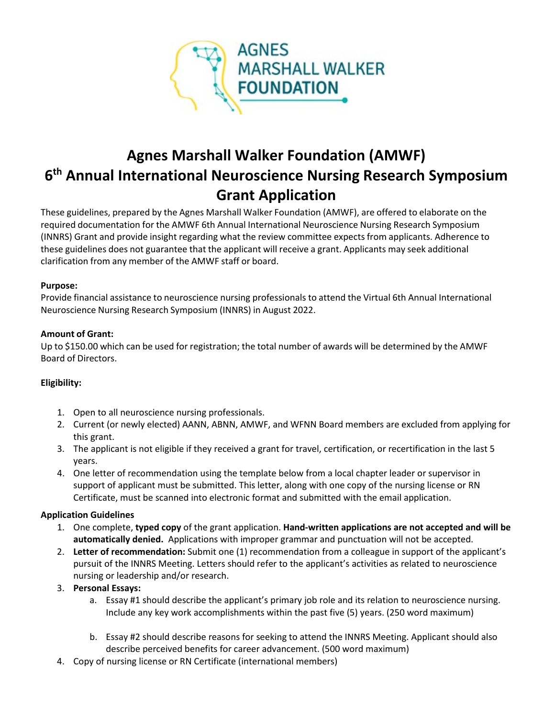

# **Agnes Marshall Walker Foundation (AMWF) 6 th Annual International Neuroscience Nursing Research Symposium Grant Application**

These guidelines, prepared by the Agnes Marshall Walker Foundation (AMWF), are offered to elaborate on the required documentation for the AMWF 6th Annual International Neuroscience Nursing Research Symposium (INNRS) Grant and provide insight regarding what the review committee expects from applicants. Adherence to these guidelines does not guarantee that the applicant will receive a grant. Applicants may seek additional clarification from any member of the AMWF staff or board.

#### **Purpose:**

Provide financial assistance to neuroscience nursing professionals to attend the Virtual 6th Annual International Neuroscience Nursing Research Symposium (INNRS) in August 2022.

#### **Amount of Grant:**

Up to \$150.00 which can be used for registration; the total number of awards will be determined by the AMWF Board of Directors.

#### **Eligibility:**

- 1. Open to all neuroscience nursing professionals.
- 2. Current (or newly elected) AANN, ABNN, AMWF, and WFNN Board members are excluded from applying for this grant.
- 3. The applicant is not eligible if they received a grant for travel, certification, or recertification in the last 5 years.
- 4. One letter of recommendation using the template below from a local chapter leader or supervisor in support of applicant must be submitted. This letter, along with one copy of the nursing license or RN Certificate, must be scanned into electronic format and submitted with the email application.

#### **Application Guidelines**

- 1. One complete, **typed copy** of the grant application. **Hand-written applications are not accepted and will be automatically denied.** Applications with improper grammar and punctuation will not be accepted.
- 2. **Letter of recommendation:** Submit one (1) recommendation from a colleague in support of the applicant's pursuit of the INNRS Meeting. Letters should refer to the applicant's activities as related to neuroscience nursing or leadership and/or research.

#### 3. **Personal Essays:**

- a. Essay #1 should describe the applicant's primary job role and its relation to neuroscience nursing. Include any key work accomplishments within the past five (5) years. (250 word maximum)
- b. Essay #2 should describe reasons for seeking to attend the INNRS Meeting. Applicant should also describe perceived benefits for career advancement. (500 word maximum)
- 4. Copy of nursing license or RN Certificate (international members)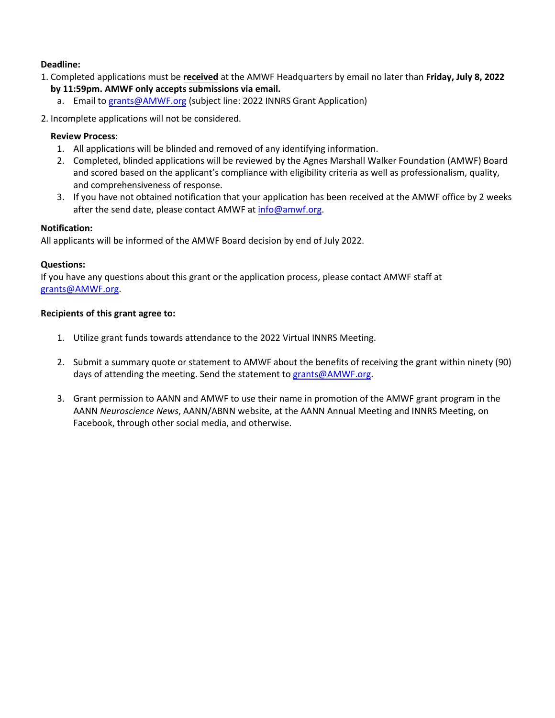#### **Deadline:**

- 1. Completed applications must be **received** at the AMWF Headquarters by email no later than **Friday, July 8, 2022**
	- **by 11:59pm. AMWF only accepts submissions via email.**
		- a. Email to [grants@AMWF.org](mailto:grants@AMWF.org) (subject line: 2022 INNRS Grant Application)
- 2. Incomplete applications will not be considered.

#### **Review Process**:

- 1. All applications will be blinded and removed of any identifying information.
- 2. Completed, blinded applications will be reviewed by the Agnes Marshall Walker Foundation (AMWF) Board and scored based on the applicant's compliance with eligibility criteria as well as professionalism, quality, and comprehensiveness of response.
- 3. If you have not obtained notification that your application has been received at the AMWF office by 2 weeks after the send date, please contact AMWF at [info@amwf.org.](mailto:info@amwf.org)

#### **Notification:**

All applicants will be informed of the AMWF Board decision by end of July 2022.

### **Questions:**

If you have any questions about this grant or the application process, please contact AMWF staff at [grants@AMWF.org.](mailto:grants@AMWF.org)

### **Recipients of this grant agree to:**

- 1. Utilize grant funds towards attendance to the 2022 Virtual INNRS Meeting.
- 2. Submit a summary quote or statement to AMWF about the benefits of receiving the grant within ninety (90) days of attending the meeting. Send the statement to [grants@AMWF.org.](mailto:grants@AMWF.org)
- 3. Grant permission to AANN and AMWF to use their name in promotion of the AMWF grant program in the AANN *Neuroscience News*, AANN/ABNN website, at the AANN Annual Meeting and INNRS Meeting, on Facebook, through other social media, and otherwise.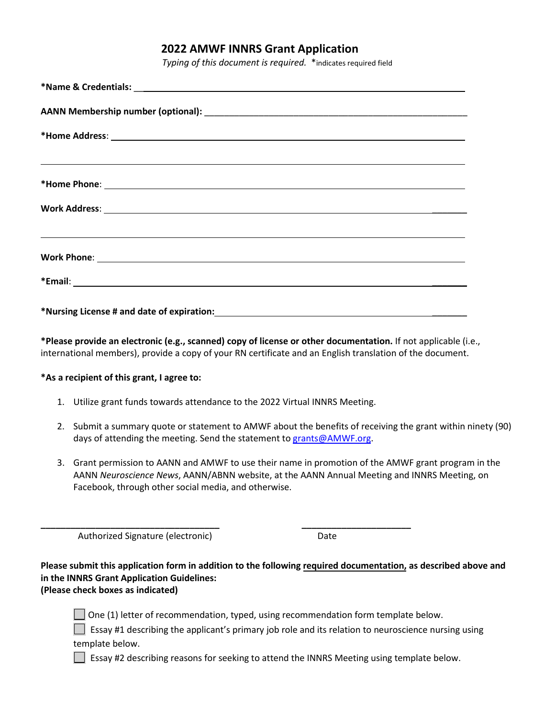## **2022 AMWF INNRS Grant Application**

*Typing of this document is required.* \*indicates required field

| <u> 1989 - Andrea Santa Andrea Andrea Santa Andrea Andrea Andrea Andrea Andrea Andrea Andrea Andrea Andrea Andre</u> |  |
|----------------------------------------------------------------------------------------------------------------------|--|
|                                                                                                                      |  |
|                                                                                                                      |  |
|                                                                                                                      |  |
|                                                                                                                      |  |
|                                                                                                                      |  |
|                                                                                                                      |  |
|                                                                                                                      |  |

**\*Please provide an electronic (e.g., scanned) copy of license or other documentation.** If not applicable (i.e., international members), provide a copy of your RN certificate and an English translation of the document.

#### **\*As a recipient of this grant, I agree to:**

1. Utilize grant funds towards attendance to the 2022 Virtual INNRS Meeting.

**\_\_\_\_\_\_\_\_\_\_\_\_\_\_\_\_\_\_\_\_\_\_\_\_\_\_\_\_\_\_\_\_\_\_\_\_ \_\_\_\_\_\_\_\_\_\_\_\_\_\_\_\_\_\_\_\_\_\_**

- 2. Submit a summary quote or statement to AMWF about the benefits of receiving the grant within ninety (90) days of attending the meeting. Send the statement to [grants@AMWF.org.](mailto:grants@AMWF.org)
- 3. Grant permission to AANN and AMWF to use their name in promotion of the AMWF grant program in the AANN *Neuroscience News*, AANN/ABNN website, at the AANN Annual Meeting and INNRS Meeting, on Facebook, through other social media, and otherwise.

Authorized Signature (electronic) Date

**Please submit this application form in addition to the following required documentation, as described above and in the INNRS Grant Application Guidelines: (Please check boxes as indicated)**

 $\Box$  One (1) letter of recommendation, typed, using recommendation form template below.

 Essay #1 describing the applicant's primary job role and its relation to neuroscience nursing using template below.

**Essay #2 describing reasons for seeking to attend the INNRS Meeting using template below.**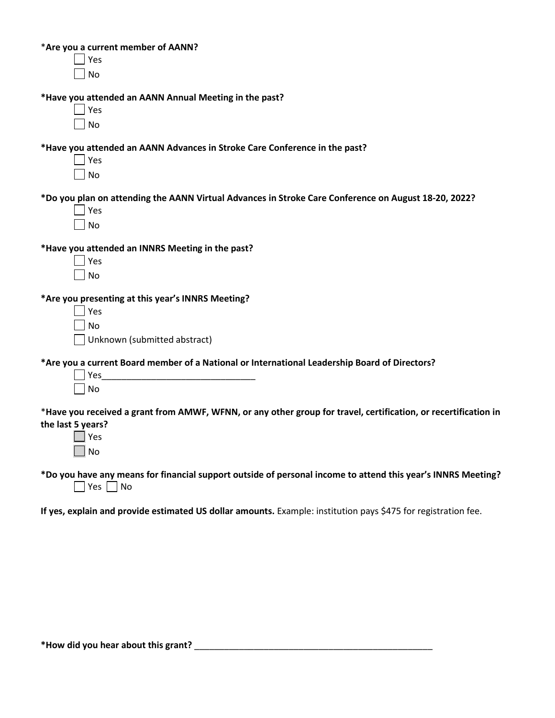\***Are you a current member of AANN?**

 $\Box$  Yes No

**\*Have you attended an AANN Annual Meeting in the past?**

Yes  $\Box$  No

**\*Have you attended an AANN Advances in Stroke Care Conference in the past?**

 $\Box$  Yes  $\Box$  No

**\*Do you plan on attending the AANN Virtual Advances in Stroke Care Conference on August 18-20, 2022?**

| ς<br>ب  |
|---------|
| ٨ı<br>n |

**\*Have you attended an INNRS Meeting in the past?**

**\*Are you presenting at this year's INNRS Meeting?**

|  | $\Box$ Yes                     |
|--|--------------------------------|
|  | $\Box$ No                      |
|  | □ Unknown (submitted abstract) |

**\*Are you a current Board member of a National or International Leadership Board of Directors?**

| Yes       |  |  |  |
|-----------|--|--|--|
| $\Box$ No |  |  |  |

\***Have you received a grant from AMWF, WFNN, or any other group for travel, certification, or recertification in the last 5 years?**

**\*Do you have any means for financial support outside of personal income to attend this year's INNRS Meeting?**  $\Box$  Yes  $\Box$  No

**If yes, explain and provide estimated US dollar amounts.** Example: institution pays \$475 for registration fee.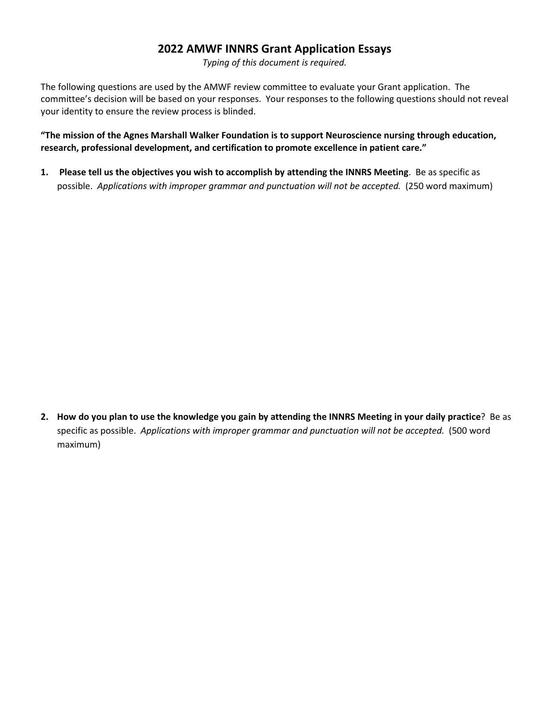# **2022 AMWF INNRS Grant Application Essays**

*Typing of this document is required.* 

The following questions are used by the AMWF review committee to evaluate your Grant application. The committee's decision will be based on your responses. Your responses to the following questions should not reveal your identity to ensure the review process is blinded.

**"The mission of the Agnes Marshall Walker Foundation is to support Neuroscience nursing through education, research, professional development, and certification to promote excellence in patient care."**

**1. Please tell us the objectives you wish to accomplish by attending the INNRS Meeting**. Be as specific as possible. *Applications with improper grammar and punctuation will not be accepted.* (250 word maximum)

**2. How do you plan to use the knowledge you gain by attending the INNRS Meeting in your daily practice**? Be as specific as possible. *Applications with improper grammar and punctuation will not be accepted.* (500 word maximum)